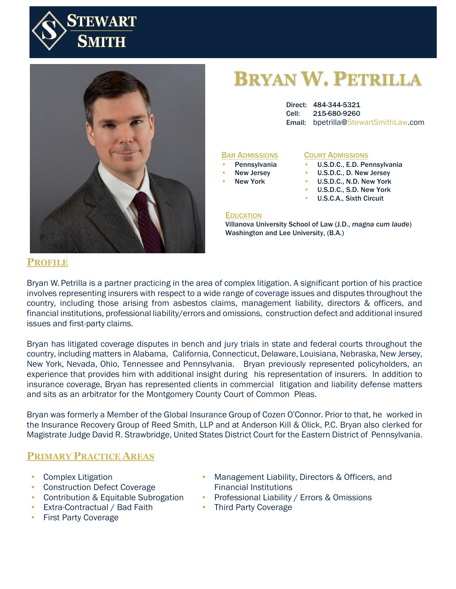



# **BRYAN W. PETRILLA**

Direct: 484-344-5321 Cell: 215-680-9260 Email: bpetrilla@StewartSmithLaw.com

#### BAR ADMISSIONS

- **Pennsylvania**
- New Jersey
- **New York**

#### COURT ADMISSIONS

- **COORT ADMISSIONS**<br>• U.S.D.C., E.D. Pennsylvania
- E.D. Pennsylvania U.S.D.C., D. New Jersey
- U.S.D.C., N.D. New York
- U.S.D.C., S.D. New York
- U.S.C.A., Sixth Circuit

#### EDUCATION

Ohio U.S.C.A., Third Villanova University School of Law (J.D., *magna cum laude*) Washington and Lee University, (B.A.)

#### **PROFILE**

Bryan W. Petrilla is a partner practicing in the area of complex litigation. A significant portion of his practice involves representing insurers with respect to a wide range of coverage issues and disputes throughout the country, including those arising from asbestos claims, management liability, directors & officers, and financial institutions, professional liability/errors and omissions, construction defect and additional insured issues and first-party claims.

Bryan has litigated coverage disputes in bench and jury trials in state and federal courts throughout the country, including matters in Alabama, California, Connecticut, Delaware, Louisiana, Nebraska, New Jersey, New York, Nevada, Ohio, Tennessee and Pennsylvania. Bryan previously represented policyholders, an experience that provides him with additional insight during his representation of insurers. In addition to insurance coverage, Bryan has represented clients in commercial litigation and liability defense matters and sits as an arbitrator for the Montgomery County Court of Common Pleas.

Bryan was formerly a Member of the Global Insurance Group of Cozen O'Connor. Prior to that, he worked in the Insurance Recovery Group of Reed Smith, LLP and at Anderson Kill & Olick, P.C. Bryan also clerked for Magistrate Judge David R. Strawbridge, United States District Court for the Eastern District of Pennsylvania.

#### **PRIMARY PRACTICE AREAS**

- Complex Litigation
- Construction Defect Coverage
- Contribution & Equitable Subrogation
- Extra-Contractual / Bad Faith
- First Party Coverage
- Management Liability, Directors & Officers, and Financial Institutions
- Professional Liability / Errors & Omissions
- Third Party Coverage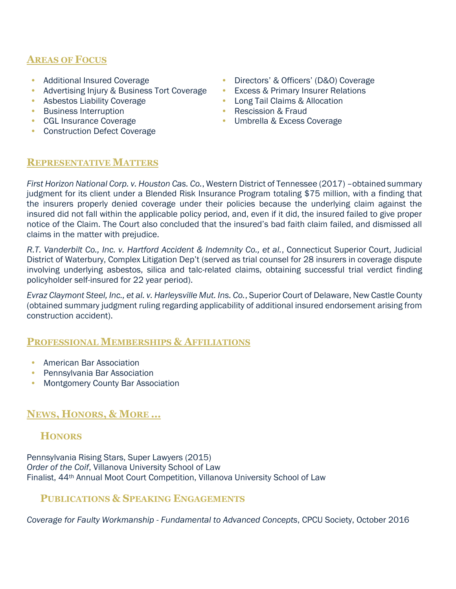# **AREAS OF FOCUS**

- Additional Insured Coverage
- Advertising Injury & Business Tort Coverage
- Asbestos Liability Coverage
- Business Interruption
- CGL Insurance Coverage
- Construction Defect Coverage
- Directors' & Officers' (D&O) Coverage
- Excess & Primary Insurer Relations
- Long Tail Claims & Allocation
- Rescission & Fraud
- Umbrella & Excess Coverage

#### **REPRESENTATIVE MATTERS**

*First Horizon National Corp. v. Houston Cas. Co.*, Western District of Tennessee (2017) –obtained summary judgment for its client under a Blended Risk Insurance Program totaling \$75 million, with a finding that the insurers properly denied coverage under their policies because the underlying claim against the insured did not fall within the applicable policy period, and, even if it did, the insured failed to give proper notice of the Claim. The Court also concluded that the insured's bad faith claim failed, and dismissed all claims in the matter with prejudice.

*R.T. Vanderbilt Co., Inc. v. Hartford Accident & Indemnity Co., et al.*, Connecticut Superior Court, Judicial District of Waterbury, Complex Litigation Dep't (served as trial counsel for 28 insurers in coverage dispute involving underlying asbestos, silica and talc-related claims, obtaining successful trial verdict finding policyholder self-insured for 22 year period).

*Evraz Claymont Steel, Inc., et al. v. Harleysville Mut. Ins. Co.*, Superior Court of Delaware, New Castle County (obtained summary judgment ruling regarding applicability of additional insured endorsement arising from construction accident).

## **PROFESSIONAL MEMBERSHIPS & AFFILIATIONS**

- American Bar Association
- Pennsylvania Bar Association
- Montgomery County Bar Association

## **NEWS, HONORS, & MORE …**

## **HONORS**

Pennsylvania Rising Stars, Super Lawyers (2015) *Order of the Coif*, Villanova University School of Law Finalist, 44th Annual Moot Court Competition, Villanova University School of Law

## **PUBLICATIONS & SPEAKING ENGAGEMENTS**

*Coverage for Faulty Workmanship - Fundamental to Advanced Concepts*, CPCU Society, October 2016